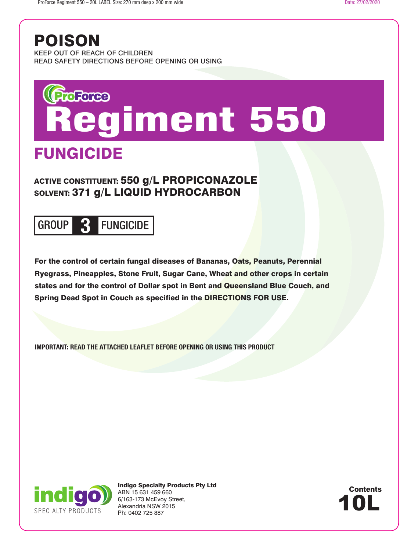## POISON

KEEP OUT OF REACH OF CHILDREN READ SAFETY DIRECTIONS BEFORE OPENING OR USING

# *Regiment 550*

## FUNGICIDE

### ACTIVE CONSTITUENT: 550 g/L PROPICONAZOLE SOLVENT: 371 g/L LIQUID HYDROCARBON

## GROUP **3** FUNGICIDE

For the control of certain fungal diseases of Bananas, Oats, Peanuts, Perennial Ryegrass, Pineapples, Stone Fruit, Sugar Cane, Wheat and other crops in certain states and for the control of Dollar spot in Bent and Queensland Blue Couch, and Spring Dead Spot in Couch as specified in the DIRECTIONS FOR USE.

**IMPORTANT: READ THE ATTACHED LEAFLET BEFORE OPENING OR USING THIS PRODUCT**



Indigo Specialty Products Pty Ltd ABN 15 631 459 660 6/163-173 McEvoy Street, Alexandria NSW 2015 Ph: 0402 725 887

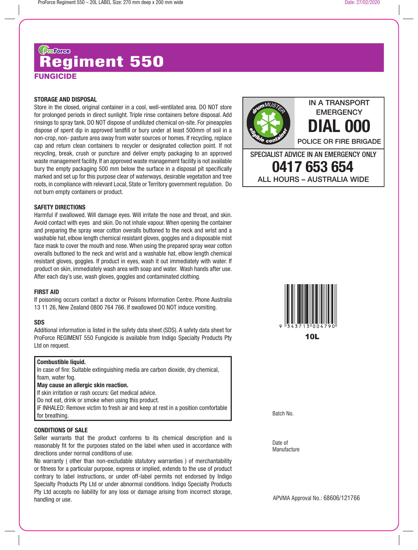## **FUNGICIDE Gazax**<br>Regiment 550

#### **STORAGE AND DISPOSAL**

Store in the closed, original container in a cool, well-ventilated area. DO NOT store for prolonged periods in direct sunlight. Triple rinse containers before disposal. Add rinsings to spray tank. DO NOT dispose of undiluted chemical on-site. For pineapples dispose of spent dip in approved landfill or bury under at least 500mm of soil in a non-crop, non- pasture area away from water sources or homes. If recycling, replace cap and return clean containers to recycler or designated collection point. If not recycling, break, crush or puncture and deliver empty packaging to an approved waste management facility. If an approved waste management facility is not available bury the empty packaging 500 mm below the surface in a disposal pit specifically marked and set up for this purpose clear of waterways, desirable vegetation and tree roots, in compliance with relevant Local, State or Territory government regulation. Do not burn empty containers or product.

#### **SAFETY DIRECTIONS**

Harmful if swallowed. Will damage eyes. Will irritate the nose and throat, and skin. Avoid contact with eyes and skin. Do not inhale vapour. When opening the container and preparing the spray wear cotton overalls buttoned to the neck and wrist and a washable hat, elbow length chemical resistant gloves, goggles and a disposable mist face mask to cover the mouth and nose. When using the prepared spray wear cotton overalls buttoned to the neck and wrist and a washable hat, elbow length chemical resistant gloves, goggles. If product in eyes, wash it out immediately with water. If product on skin, immediately wash area with soap and water. Wash hands after use. After each day's use, wash gloves, goggles and contaminated clothing.

#### **FIRST AID**

If poisoning occurs contact a doctor or Poisons Information Centre. Phone Australia 13 11 26, New Zealand 0800 764 766. If swallowed DO NOT induce vomiting.

#### **SDS**

Additional information is listed in the safety data sheet (SDS). A safety data sheet for ProForce REGIMENT 550 Fungicide is available from Indigo Specialty Products Pty Ltd on request.

#### **Combustible liquid.**

In case of fire: Suitable extinguishing media are carbon dioxide, dry chemical, foam, water fog.

#### **May cause an allergic skin reaction.**

If skin irritation or rash occurs: Get medical advice.

Do not eat, drink or smoke when using this product.

IF INHALED: Remove victim to fresh air and keep at rest in a position comfortable for breathing.

#### **CONDITIONS OF SALE**

Seller warrants that the product conforms to its chemical description and is reasonably fit for the purposes stated on the label when used in accordance with directions under normal conditions of use.

No warranty ( other than non-excludable statutory warranties ) of merchantability or fitness for a particular purpose, express or implied, extends to the use of product contrary to label instructions, or under off-label permits not endorsed by Indigo Specialty Products Pty Ltd or under abnormal conditions. Indigo Specialty Products Pty Ltd accepts no liability for any loss or damage arising from incorrect storage, handling or use.



ALL HOURS – AUSTRALIA WIDE

IN A TRANSPORT **EMERGENCY** 



Batch No.

Date of **Manufacture** 

APVMA Approval No.: 68606/121766